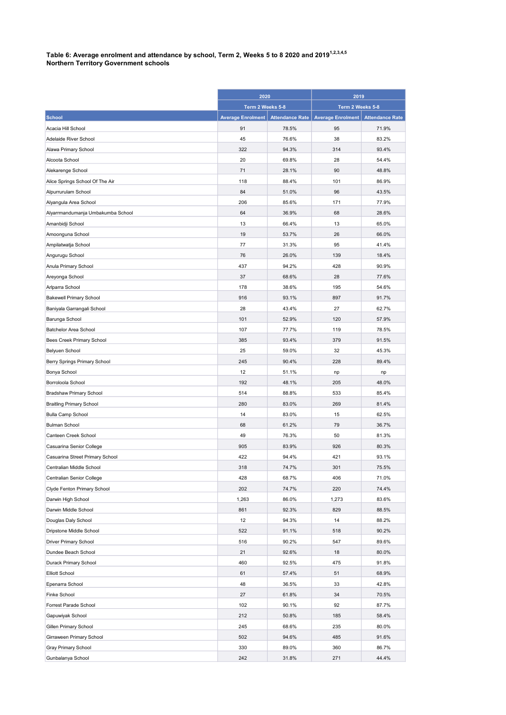## Table 6: Average enrolment and attendance by school, Term 2, Weeks 5 to 8 2020 and 2019 $^{\rm 1.2,3.4,5}$ Northern Territory Government schools

|                                   | 2020                     |                        | 2019                     |                        |
|-----------------------------------|--------------------------|------------------------|--------------------------|------------------------|
|                                   | Term 2 Weeks 5-8         |                        | Term 2 Weeks 5-8         |                        |
| <b>School</b>                     | <b>Average Enrolment</b> | <b>Attendance Rate</b> | <b>Average Enrolment</b> | <b>Attendance Rate</b> |
| Acacia Hill School                | 91                       | 78.5%                  | 95                       | 71.9%                  |
| Adelaide River School             | 45                       | 76.6%                  | 38                       | 83.2%                  |
| Alawa Primary School              | 322                      | 94.3%                  | 314                      | 93.4%                  |
| Alcoota School                    | 20                       | 69.8%                  | 28                       | 54.4%                  |
| Alekarenge School                 | 71                       | 28.1%                  | 90                       | 48.8%                  |
| Alice Springs School Of The Air   | 118                      | 88.4%                  | 101                      | 86.9%                  |
| Alpurrurulam School               | 84                       | 51.0%                  | 96                       | 43.5%                  |
| Alyangula Area School             | 206                      | 85.6%                  | 171                      | 77.9%                  |
| Alyarrmandumanja Umbakumba School | 64                       | 36.9%                  | 68                       | 28.6%                  |
| Amanbidji School                  | 13                       | 66.4%                  | 13                       | 65.0%                  |
| Amoonguna School                  | 19                       | 53.7%                  | 26                       | 66.0%                  |
| Ampilatwatja School               | 77                       | 31.3%                  | 95                       | 41.4%                  |
| Angurugu School                   | 76                       | 26.0%                  | 139                      | 18.4%                  |
| Anula Primary School              | 437                      | 94.2%                  | 428                      | 90.9%                  |
| Areyonga School                   | 37                       | 68.6%                  | 28                       | 77.6%                  |
| Arlparra School                   | 178                      | 38.6%                  | 195                      | 54.6%                  |
| <b>Bakewell Primary School</b>    | 916                      | 93.1%                  | 897                      | 91.7%                  |
| Baniyala Garrangali School        | 28                       | 43.4%                  | 27                       | 62.7%                  |
| Barunga School                    | 101                      | 52.9%                  | 120                      | 57.9%                  |
| <b>Batchelor Area School</b>      | 107                      | 77.7%                  | 119                      | 78.5%                  |
| Bees Creek Primary School         | 385                      | 93.4%                  | 379                      | 91.5%                  |
| Belyuen School                    | 25                       | 59.0%                  | 32                       | 45.3%                  |
| Berry Springs Primary School      | 245                      | 90.4%                  | 228                      | 89.4%                  |
| Bonya School                      | 12                       | 51.1%                  | np                       | np                     |
| Borroloola School                 | 192                      | 48.1%                  | 205                      | 48.0%                  |
| <b>Bradshaw Primary School</b>    | 514                      | 88.8%                  | 533                      | 85.4%                  |
| <b>Braitling Primary School</b>   | 280                      | 83.0%                  | 269                      | 81.4%                  |
| <b>Bulla Camp School</b>          | 14                       | 83.0%                  | 15                       | 62.5%                  |
| <b>Bulman School</b>              | 68                       | 61.2%                  | 79                       | 36.7%                  |
| Canteen Creek School              | 49                       | 76.3%                  | 50                       | 81.3%                  |
| Casuarina Senior College          | 905                      | 83.9%                  | 926                      | 80.3%                  |
| Casuarina Street Primary School   | 422                      | 94.4%                  | 421                      | 93.1%                  |
| Centralian Middle School          | 318                      | 74.7%                  | 301                      | 75.5%                  |
| Centralian Senior College         | 428                      | 68.7%                  | 406                      | 71.0%                  |
| Clyde Fenton Primary School       | 202                      | 74.7%                  | 220                      | 74.4%                  |
| Darwin High School                | 1,263                    | 86.0%                  | 1,273                    | 83.6%                  |
| Darwin Middle School              | 861                      | 92.3%                  | 829                      | 88.5%                  |
| Douglas Daly School               | 12                       | 94.3%                  | 14                       | 88.2%                  |
| Dripstone Middle School           | 522                      | 91.1%                  | 518                      | 90.2%                  |
| Driver Primary School             | 516                      | 90.2%                  | 547                      | 89.6%                  |
| Dundee Beach School               | 21                       | 92.6%                  | 18                       | 80.0%                  |
| Durack Primary School             | 460                      | 92.5%                  | 475                      | 91.8%                  |
| <b>Elliott School</b>             | 61                       | 57.4%                  | 51                       | 68.9%                  |
| Epenarra School                   | 48                       | 36.5%                  | 33                       | 42.8%                  |
| <b>Finke School</b>               | 27                       | 61.8%                  | 34                       | 70.5%                  |
| Forrest Parade School             | 102                      | 90.1%                  | 92                       | 87.7%                  |
| Gapuwiyak School                  | 212                      | 50.8%                  | 185                      | 58.4%                  |
| Gillen Primary School             | 245                      | 68.6%                  | 235                      | 80.0%                  |
| Girraween Primary School          | 502                      | 94.6%                  | 485                      | 91.6%                  |
| Gray Primary School               | 330                      | 89.0%                  | 360                      | 86.7%                  |
| Gunbalanya School                 | 242                      | 31.8%                  | 271                      | 44.4%                  |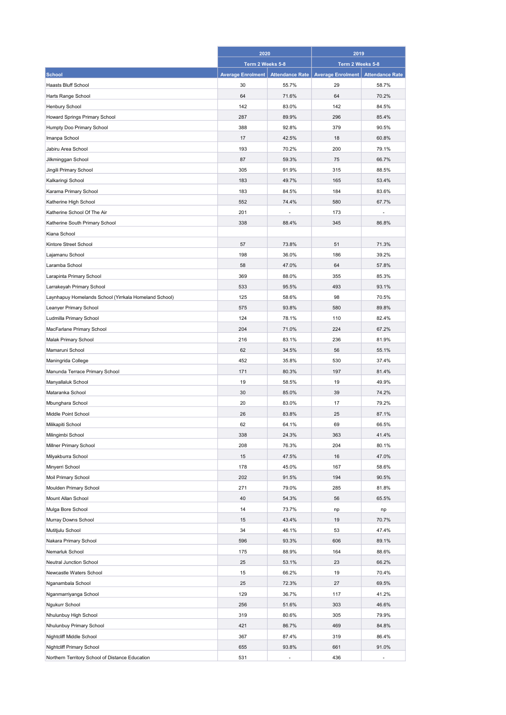|                                                       | 2020                     |                        | 2019                     |                        |
|-------------------------------------------------------|--------------------------|------------------------|--------------------------|------------------------|
|                                                       | Term 2 Weeks 5-8         |                        | Term 2 Weeks 5-8         |                        |
| <b>School</b>                                         | <b>Average Enrolment</b> | <b>Attendance Rate</b> | <b>Average Enrolment</b> | <b>Attendance Rate</b> |
| Haasts Bluff School                                   | 30                       | 55.7%                  | 29                       | 58.7%                  |
| Harts Range School                                    | 64                       | 71.6%                  | 64                       | 70.2%                  |
| Henbury School                                        | 142                      | 83.0%                  | 142                      | 84.5%                  |
| Howard Springs Primary School                         | 287                      | 89.9%                  | 296                      | 85.4%                  |
| Humpty Doo Primary School                             | 388                      | 92.8%                  | 379                      | 90.5%                  |
| Imanpa School                                         | 17                       | 42.5%                  | 18                       | 60.8%                  |
| Jabiru Area School                                    | 193                      | 70.2%                  | 200                      | 79.1%                  |
| Jilkminggan School                                    | 87                       | 59.3%                  | 75                       | 66.7%                  |
| Jingili Primary School                                | 305                      | 91.9%                  | 315                      | 88.5%                  |
| Kalkaringi School                                     | 183                      | 49.7%                  | 165                      | 53.4%                  |
| Karama Primary School                                 | 183                      | 84.5%                  | 184                      | 83.6%                  |
| Katherine High School                                 | 552                      | 74.4%                  | 580                      | 67.7%                  |
| Katherine School Of The Air                           | 201                      |                        | 173                      |                        |
| Katherine South Primary School                        | 338                      | 88.4%                  | 345                      | 86.8%                  |
| Kiana School                                          |                          |                        |                          |                        |
| Kintore Street School                                 | 57                       | 73.8%                  | 51                       | 71.3%                  |
| Lajamanu School                                       | 198                      | 36.0%                  | 186                      | 39.2%                  |
| Laramba School                                        | 58                       | 47.0%                  | 64                       | 57.8%                  |
| Larapinta Primary School                              | 369                      | 88.0%                  | 355                      | 85.3%                  |
| Larrakeyah Primary School                             | 533                      | 95.5%                  | 493                      | 93.1%                  |
| Laynhapuy Homelands School (Yirrkala Homeland School) | 125                      | 58.6%                  | 98                       | 70.5%                  |
| Leanyer Primary School                                | 575                      | 93.8%                  | 580                      | 89.8%                  |
| Ludmilla Primary School                               | 124                      | 78.1%                  | 110                      | 82.4%                  |
| MacFarlane Primary School                             | 204                      | 71.0%                  | 224                      | 67.2%                  |
| Malak Primary School                                  | 216                      | 83.1%                  | 236                      | 81.9%                  |
| Mamaruni School                                       | 62                       | 34.5%                  | 56                       | 55.1%                  |
| Maningrida College                                    | 452                      | 35.8%                  | 530                      | 37.4%                  |
| Manunda Terrace Primary School                        | 171                      | 80.3%                  | 197                      | 81.4%                  |
| Manyallaluk School                                    | 19                       | 58.5%                  | 19                       | 49.9%                  |
| Mataranka School                                      | 30                       | 85.0%                  | 39                       | 74.2%                  |
| Mbunghara School                                      | 20                       | 83.0%                  | 17                       | 79.2%                  |
| Middle Point School                                   | 26                       | 83.8%                  | 25                       | 87.1%                  |
| Milikapiti School                                     | 62                       | 64.1%                  | 69                       | 66.5%                  |
| Milingimbi School                                     | 338                      | 24.3%                  | 363                      | 41.4%                  |
| Millner Primary School                                | 208                      | 76.3%                  | 204                      | 80.1%                  |
| Milyakburra School                                    | 15                       | 47.5%                  | 16                       | 47.0%                  |
| Minyerri School                                       | 178                      | 45.0%                  | 167                      | 58.6%                  |
| Moil Primary School                                   | 202                      | 91.5%                  | 194                      | 90.5%                  |
| Moulden Primary School                                | 271                      | 79.0%                  | 285                      | 81.8%                  |
| Mount Allan School                                    | 40                       | 54.3%                  | 56                       | 65.5%                  |
| Mulga Bore School                                     | 14                       | 73.7%                  | np                       | np                     |
| Murray Downs School                                   | 15                       | 43.4%                  | 19                       | 70.7%                  |
| Mutitjulu School                                      | 34                       | 46.1%                  | 53                       | 47.4%                  |
| Nakara Primary School                                 | 596                      | 93.3%                  | 606                      | 89.1%                  |
| Nemarluk School                                       | 175                      | 88.9%                  | 164                      | 88.6%                  |
| Neutral Junction School                               | 25                       | 53.1%                  | 23                       | 66.2%                  |
| Newcastle Waters School                               | 15                       | 66.2%                  | 19                       | 70.4%                  |
| Nganambala School                                     | 25                       | 72.3%                  | 27                       | 69.5%                  |
| Nganmarriyanga School                                 | 129                      | 36.7%                  | 117                      | 41.2%                  |
| Ngukurr School                                        | 256                      | 51.6%                  | 303                      | 46.6%                  |
| Nhulunbuy High School                                 | 319                      | 80.6%                  | 305                      | 79.9%                  |
|                                                       | 421                      | 86.7%                  | 469                      | 84.8%                  |
| Nhulunbuy Primary School                              |                          |                        |                          | 86.4%                  |
| Nightcliff Middle School                              | 367                      | 87.4%                  | 319<br>661               | 91.0%                  |
| Nightcliff Primary School                             | 655                      | 93.8%                  |                          |                        |
| Northern Territory School of Distance Education       | 531                      | Ĭ.                     | 436                      |                        |